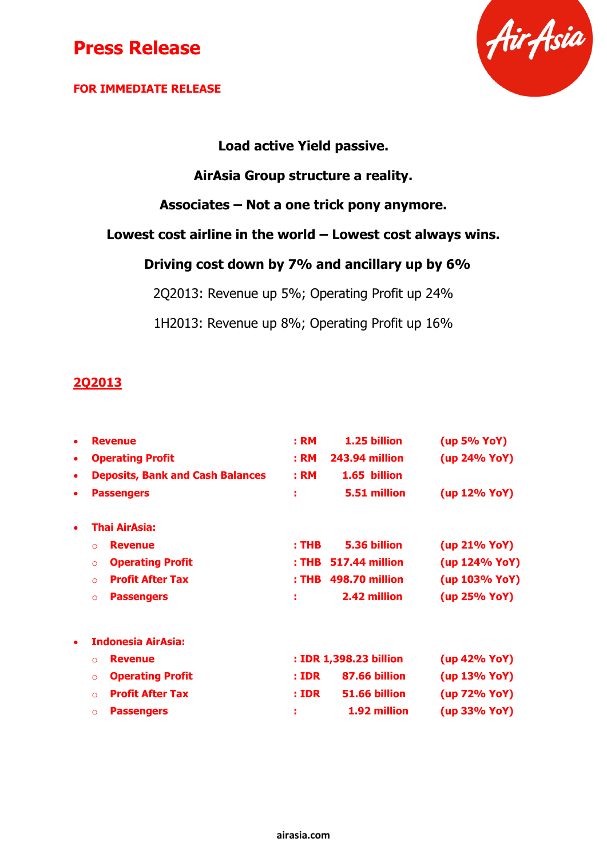### **FOR IMMEDIATE RELEASE**



## **Load active Yield passive.**

## **AirAsia Group structure a reality.**

**Associates – Not a one trick pony anymore.**

### **Lowest cost airline in the world – Lowest cost always wins.**

## **Driving cost down by 7% and ancillary up by 6%**

2Q2013: Revenue up 5%; Operating Profit up 24%

1H2013: Revenue up 8%; Operating Profit up 16%

### **2Q2013**

| ٠         | <b>Revenue</b>                          | : <b>RM</b>  | 1.25 billion           | (up 5% YoY)   |
|-----------|-----------------------------------------|--------------|------------------------|---------------|
| $\bullet$ | <b>Operating Profit</b>                 | : RM         | 243.94 million         | (up 24% YoY)  |
| $\bullet$ | <b>Deposits, Bank and Cash Balances</b> | : RM         | 1.65 billion           |               |
| ٠         | <b>Passengers</b>                       | ÷            | 5.51 million           | (up 12% YoY)  |
|           | Thai AirAsia:                           |              |                        |               |
|           | <b>Revenue</b><br>$\Omega$              | $:$ THB      | 5.36 billion           | (up 21% YoY)  |
|           | <b>Operating Profit</b><br>$\circ$      |              | : THB 517.44 million   | (up 124% YoY) |
|           | <b>Profit After Tax</b><br>$\Omega$     |              | : THB 498.70 million   | (up 103% YoY) |
|           | <b>Passengers</b><br>$\circ$            | ÷            | 2.42 million           | (up 25% YoY)  |
|           | <b>Indonesia AirAsia:</b>               |              |                        |               |
|           | <b>Revenue</b><br>$\Omega$              |              | : IDR 1,398.23 billion | (up 42% YoY)  |
|           | <b>Operating Profit</b><br>$\circ$      | : <b>IDR</b> | 87.66 billion          | (up 13% YoY)  |
|           | <b>Profit After Tax</b><br>$\Omega$     | : <b>IDR</b> | 51.66 billion          | (up 72% YoY)  |
|           | <b>Passengers</b><br>$\circ$            | ÷            | 1.92 million           | (up 33% YoY)  |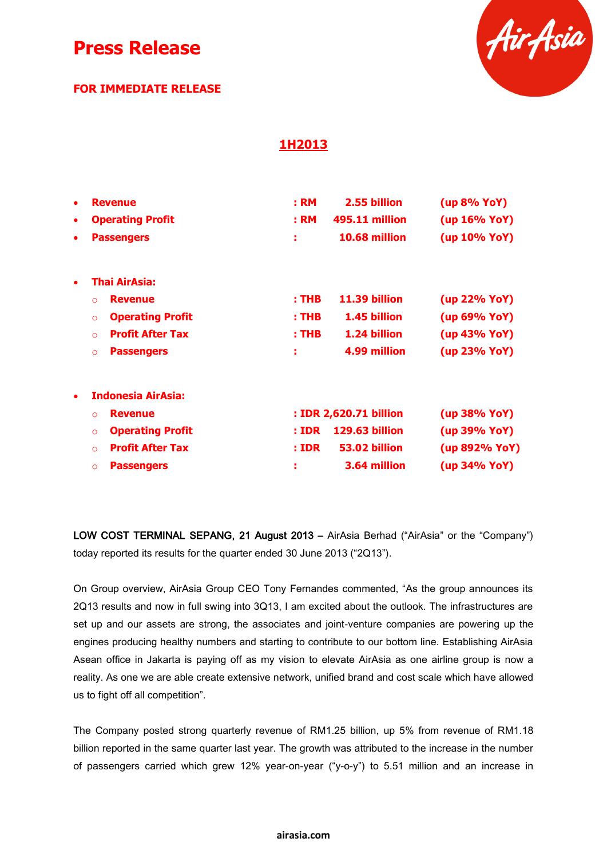### **FOR IMMEDIATE RELEASE**



### **1H2013**

| $\bullet$<br>$\bullet$<br>٠ | <b>Revenue</b><br><b>Operating Profit</b><br><b>Passengers</b> | : RM<br>: RM<br>х | 2.55 billion<br>495.11 million<br>10.68 million | (up 8% YoY)<br>(up 16% YoY)<br>(up 10% YoY) |
|-----------------------------|----------------------------------------------------------------|-------------------|-------------------------------------------------|---------------------------------------------|
|                             |                                                                |                   |                                                 |                                             |
| $\bullet$                   | <b>Thai AirAsia:</b>                                           |                   |                                                 |                                             |
|                             | <b>Revenue</b><br>$\Omega$                                     | $:$ THB           | 11.39 billion                                   | (up 22% YoY)                                |
|                             | <b>Operating Profit</b><br>$\circ$                             | $:$ THB           | 1.45 billion                                    | (up 69% YoY)                                |
|                             | <b>Profit After Tax</b><br>$\Omega$                            | $:$ THB           | 1.24 billion                                    | (up 43% YoY)                                |
|                             | <b>Passengers</b><br>$\circ$                                   | ÷                 | 4.99 million                                    | (up 23% YoY)                                |
| $\bullet$                   | <b>Indonesia AirAsia:</b>                                      |                   |                                                 |                                             |
|                             | <b>Revenue</b><br>$\Omega$                                     |                   | : IDR 2,620.71 billion                          | (up 38% YoY)                                |
|                             | <b>Operating Profit</b><br>$\circ$                             | : <b>IDR</b>      | 129.63 billion                                  | (up 39% YoY)                                |
|                             | <b>Profit After Tax</b><br>$\Omega$                            | : <b>IDR</b>      | 53.02 billion                                   | (up 892% YoY)                               |
|                             | <b>Passengers</b><br>$\circ$                                   |                   | 3.64 million                                    | (up 34% YoY)                                |

LOW COST TERMINAL SEPANG, 21 August 2013 – AirAsia Berhad ("AirAsia" or the "Company") today reported its results for the quarter ended 30 June 2013 ("2Q13").

On Group overview, AirAsia Group CEO Tony Fernandes commented, "As the group announces its 2Q13 results and now in full swing into 3Q13, I am excited about the outlook. The infrastructures are set up and our assets are strong, the associates and joint-venture companies are powering up the engines producing healthy numbers and starting to contribute to our bottom line. Establishing AirAsia Asean office in Jakarta is paying off as my vision to elevate AirAsia as one airline group is now a reality. As one we are able create extensive network, unified brand and cost scale which have allowed us to fight off all competition".

The Company posted strong quarterly revenue of RM1.25 billion, up 5% from revenue of RM1.18 billion reported in the same quarter last year. The growth was attributed to the increase in the number of passengers carried which grew 12% year-on-year ("y-o-y") to 5.51 million and an increase in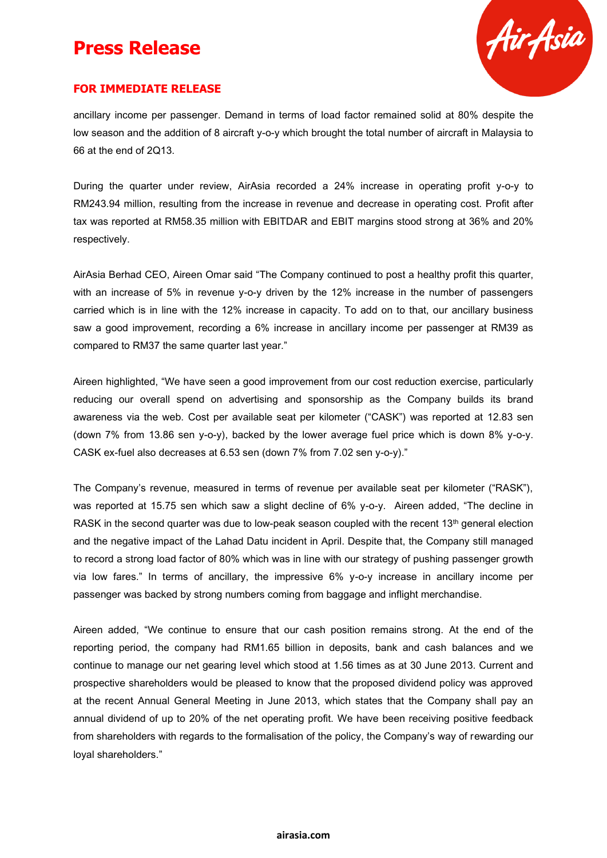

#### **FOR IMMEDIATE RELEASE**

ancillary income per passenger. Demand in terms of load factor remained solid at 80% despite the low season and the addition of 8 aircraft y-o-y which brought the total number of aircraft in Malaysia to 66 at the end of 2Q13.

During the quarter under review, AirAsia recorded a 24% increase in operating profit y-o-y to RM243.94 million, resulting from the increase in revenue and decrease in operating cost. Profit after tax was reported at RM58.35 million with EBITDAR and EBIT margins stood strong at 36% and 20% respectively.

AirAsia Berhad CEO, Aireen Omar said "The Company continued to post a healthy profit this quarter, with an increase of 5% in revenue y-o-y driven by the 12% increase in the number of passengers carried which is in line with the 12% increase in capacity. To add on to that, our ancillary business saw a good improvement, recording a 6% increase in ancillary income per passenger at RM39 as compared to RM37 the same quarter last year."

Aireen highlighted, "We have seen a good improvement from our cost reduction exercise, particularly reducing our overall spend on advertising and sponsorship as the Company builds its brand awareness via the web. Cost per available seat per kilometer ("CASK") was reported at 12.83 sen (down 7% from 13.86 sen y-o-y), backed by the lower average fuel price which is down 8% y-o-y. CASK ex-fuel also decreases at 6.53 sen (down 7% from 7.02 sen y-o-y)."

The Company's revenue, measured in terms of revenue per available seat per kilometer ("RASK"), was reported at 15.75 sen which saw a slight decline of 6% y-o-y. Aireen added, "The decline in RASK in the second quarter was due to low-peak season coupled with the recent 13<sup>th</sup> general election and the negative impact of the Lahad Datu incident in April. Despite that, the Company still managed to record a strong load factor of 80% which was in line with our strategy of pushing passenger growth via low fares." In terms of ancillary, the impressive 6% y-o-y increase in ancillary income per passenger was backed by strong numbers coming from baggage and inflight merchandise.

Aireen added, "We continue to ensure that our cash position remains strong. At the end of the reporting period, the company had RM1.65 billion in deposits, bank and cash balances and we continue to manage our net gearing level which stood at 1.56 times as at 30 June 2013. Current and prospective shareholders would be pleased to know that the proposed dividend policy was approved at the recent Annual General Meeting in June 2013, which states that the Company shall pay an annual dividend of up to 20% of the net operating profit. We have been receiving positive feedback from shareholders with regards to the formalisation of the policy, the Company's way of rewarding our loyal shareholders."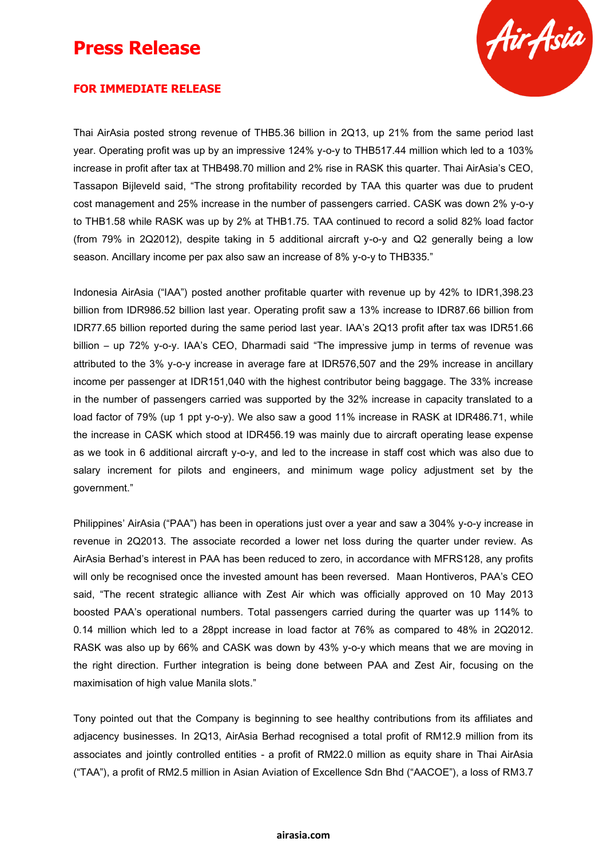

#### **FOR IMMEDIATE RELEASE**

Thai AirAsia posted strong revenue of THB5.36 billion in 2Q13, up 21% from the same period last year. Operating profit was up by an impressive 124% y-o-y to THB517.44 million which led to a 103% increase in profit after tax at THB498.70 million and 2% rise in RASK this quarter. Thai AirAsia's CEO, Tassapon Bijleveld said, "The strong profitability recorded by TAA this quarter was due to prudent cost management and 25% increase in the number of passengers carried. CASK was down 2% y-o-y to THB1.58 while RASK was up by 2% at THB1.75. TAA continued to record a solid 82% load factor (from 79% in 2Q2012), despite taking in 5 additional aircraft y-o-y and Q2 generally being a low season. Ancillary income per pax also saw an increase of 8% y-o-y to THB335."

Indonesia AirAsia ("IAA") posted another profitable quarter with revenue up by 42% to IDR1,398.23 billion from IDR986.52 billion last year. Operating profit saw a 13% increase to IDR87.66 billion from IDR77.65 billion reported during the same period last year. IAA's 2Q13 profit after tax was IDR51.66 billion – up 72% y-o-y. IAA's CEO, Dharmadi said "The impressive jump in terms of revenue was attributed to the 3% y-o-y increase in average fare at IDR576,507 and the 29% increase in ancillary income per passenger at IDR151,040 with the highest contributor being baggage. The 33% increase in the number of passengers carried was supported by the 32% increase in capacity translated to a load factor of 79% (up 1 ppt y-o-y). We also saw a good 11% increase in RASK at IDR486.71, while the increase in CASK which stood at IDR456.19 was mainly due to aircraft operating lease expense as we took in 6 additional aircraft y-o-y, and led to the increase in staff cost which was also due to salary increment for pilots and engineers, and minimum wage policy adjustment set by the government."

Philippines' AirAsia ("PAA") has been in operations just over a year and saw a 304% y-o-y increase in revenue in 2Q2013. The associate recorded a lower net loss during the quarter under review. As AirAsia Berhad's interest in PAA has been reduced to zero, in accordance with MFRS128, any profits will only be recognised once the invested amount has been reversed. Maan Hontiveros, PAA's CEO said, "The recent strategic alliance with Zest Air which was officially approved on 10 May 2013 boosted PAA's operational numbers. Total passengers carried during the quarter was up 114% to 0.14 million which led to a 28ppt increase in load factor at 76% as compared to 48% in 2Q2012. RASK was also up by 66% and CASK was down by 43% y-o-y which means that we are moving in the right direction. Further integration is being done between PAA and Zest Air, focusing on the maximisation of high value Manila slots."

Tony pointed out that the Company is beginning to see healthy contributions from its affiliates and adjacency businesses. In 2Q13, AirAsia Berhad recognised a total profit of RM12.9 million from its associates and jointly controlled entities - a profit of RM22.0 million as equity share in Thai AirAsia ("TAA"), a profit of RM2.5 million in Asian Aviation of Excellence Sdn Bhd ("AACOE"), a loss of RM3.7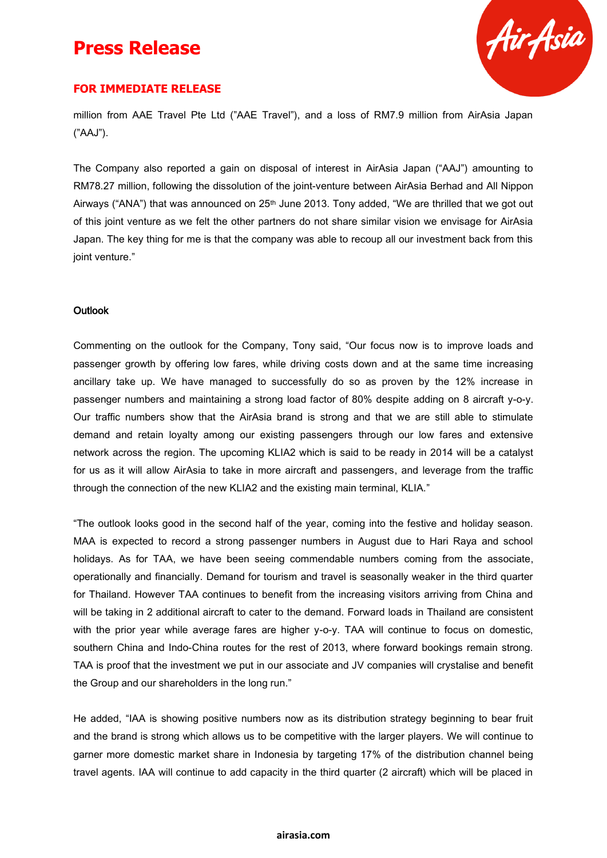

#### **FOR IMMEDIATE RELEASE**

million from AAE Travel Pte Ltd ("AAE Travel"), and a loss of RM7.9 million from AirAsia Japan ("AAJ").

The Company also reported a gain on disposal of interest in AirAsia Japan ("AAJ") amounting to RM78.27 million, following the dissolution of the joint-venture between AirAsia Berhad and All Nippon Airways ("ANA") that was announced on 25<sup>th</sup> June 2013. Tony added, "We are thrilled that we got out of this joint venture as we felt the other partners do not share similar vision we envisage for AirAsia Japan. The key thing for me is that the company was able to recoup all our investment back from this joint venture."

#### **Outlook**

Commenting on the outlook for the Company, Tony said, "Our focus now is to improve loads and passenger growth by offering low fares, while driving costs down and at the same time increasing ancillary take up. We have managed to successfully do so as proven by the 12% increase in passenger numbers and maintaining a strong load factor of 80% despite adding on 8 aircraft y-o-y. Our traffic numbers show that the AirAsia brand is strong and that we are still able to stimulate demand and retain loyalty among our existing passengers through our low fares and extensive network across the region. The upcoming KLIA2 which is said to be ready in 2014 will be a catalyst for us as it will allow AirAsia to take in more aircraft and passengers, and leverage from the traffic through the connection of the new KLIA2 and the existing main terminal, KLIA."

"The outlook looks good in the second half of the year, coming into the festive and holiday season. MAA is expected to record a strong passenger numbers in August due to Hari Raya and school holidays. As for TAA, we have been seeing commendable numbers coming from the associate, operationally and financially. Demand for tourism and travel is seasonally weaker in the third quarter for Thailand. However TAA continues to benefit from the increasing visitors arriving from China and will be taking in 2 additional aircraft to cater to the demand. Forward loads in Thailand are consistent with the prior year while average fares are higher y-o-y. TAA will continue to focus on domestic, southern China and Indo-China routes for the rest of 2013, where forward bookings remain strong. TAA is proof that the investment we put in our associate and JV companies will crystalise and benefit the Group and our shareholders in the long run."

He added, "IAA is showing positive numbers now as its distribution strategy beginning to bear fruit and the brand is strong which allows us to be competitive with the larger players. We will continue to garner more domestic market share in Indonesia by targeting 17% of the distribution channel being travel agents. IAA will continue to add capacity in the third quarter (2 aircraft) which will be placed in

#### **airasia.com**